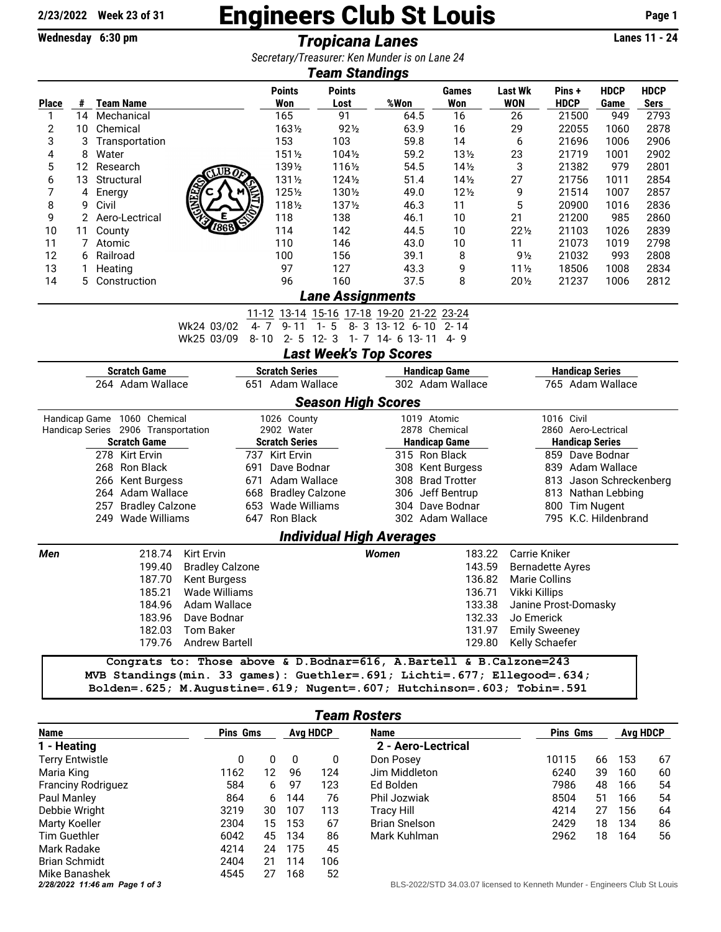## **2/23/2022 Week 23 of 31** Engineers Club St Louis **Page 1**

**Wednesday 6:30 pm** *Tropicana Lanes* **Lanes 11 - 24** *Secretary/Treasurer: Ken Munder is on Lane 24*

| Secretary/Treasurer. Neir Munder is on Lane 24<br>Team Standings                               |                |                                                                                                                                                       |                                             |                       |                                    |                                       |                                                                 |                                    |                                        |                                               |                     |                            |  |  |
|------------------------------------------------------------------------------------------------|----------------|-------------------------------------------------------------------------------------------------------------------------------------------------------|---------------------------------------------|-----------------------|------------------------------------|---------------------------------------|-----------------------------------------------------------------|------------------------------------|----------------------------------------|-----------------------------------------------|---------------------|----------------------------|--|--|
| <b>Place</b>                                                                                   | #              | <b>Team Name</b>                                                                                                                                      |                                             |                       | <b>Points</b><br>Won               | <b>Points</b><br>Lost                 | %Won                                                            | <b>Games</b><br>Won                | <b>Last Wk</b><br><b>WON</b>           | Pins+<br><b>HDCP</b>                          | <b>HDCP</b><br>Game | <b>HDCP</b><br><b>Sers</b> |  |  |
| 1                                                                                              | 14             | Mechanical                                                                                                                                            |                                             |                       | 165                                | 91                                    | 64.5                                                            | 16                                 | 26                                     | 21500                                         | 949                 | 2793                       |  |  |
| $\overline{\mathbf{c}}$                                                                        | 10             | Chemical                                                                                                                                              |                                             |                       | 1631/2                             | $92\frac{1}{2}$                       | 63.9                                                            | 16                                 | 29                                     | 22055                                         | 1060                | 2878                       |  |  |
| 3                                                                                              | 3              | Transportation                                                                                                                                        |                                             |                       | 153                                | 103                                   | 59.8                                                            | 14                                 | 6                                      | 21696                                         | 1006                | 2906                       |  |  |
| 4                                                                                              | 8              | Water                                                                                                                                                 |                                             |                       | 1511/2                             | 1041/2                                | 59.2                                                            | 131/2                              | 23                                     | 21719                                         | 1001                | 2902                       |  |  |
| 5                                                                                              | 12             | Research                                                                                                                                              | WB∂                                         |                       | 1391/2                             | 1161/2                                | 54.5                                                            | $14\frac{1}{2}$                    | 3                                      | 21382                                         | 979                 | 2801                       |  |  |
| 6                                                                                              | 13             | Structural                                                                                                                                            |                                             |                       | 1311/2                             | $124\frac{1}{2}$                      | 51.4                                                            | $14\frac{1}{2}$                    | 27                                     | 21756                                         | 1011                | 2854                       |  |  |
| 7                                                                                              | 4              | Energy                                                                                                                                                |                                             |                       | 1251/2                             | 1301/2                                | 49.0                                                            | 12%                                | 9                                      | 21514                                         | 1007                | 2857                       |  |  |
| 8                                                                                              | 9              | Civil                                                                                                                                                 |                                             |                       | 1181/2                             | 1371/2                                | 46.3                                                            | 11                                 | 5                                      | 20900                                         | 1016                | 2836                       |  |  |
| 9                                                                                              |                | 2 Aero-Lectrical                                                                                                                                      |                                             |                       | 118                                | 138                                   | 46.1                                                            | 10                                 | 21                                     | 21200                                         | 985                 | 2860                       |  |  |
| 10                                                                                             | 11             | County                                                                                                                                                | 7868                                        |                       | 114                                | 142                                   | 44.5                                                            | 10                                 | $22\frac{1}{2}$                        | 21103                                         | 1026                | 2839                       |  |  |
| 11                                                                                             | $\overline{7}$ | Atomic                                                                                                                                                |                                             |                       | 110                                | 146                                   | 43.0                                                            | 10                                 | 11                                     | 21073                                         | 1019                | 2798                       |  |  |
| 12                                                                                             | 6              | Railroad                                                                                                                                              |                                             |                       | 100                                | 156                                   | 39.1                                                            | 8                                  | $9\frac{1}{2}$                         | 21032                                         | 993                 | 2808                       |  |  |
| 13                                                                                             | 1              | Heating                                                                                                                                               |                                             |                       | 97                                 | 127                                   | 43.3                                                            | 9                                  | $11\frac{1}{2}$                        | 18506                                         | 1008                | 2834                       |  |  |
| 14                                                                                             | 5.             | Construction                                                                                                                                          |                                             |                       | 96                                 | 160                                   | 37.5                                                            | 8                                  | $20\%$                                 | 21237                                         | 1006                | 2812                       |  |  |
| Lane Assignments                                                                               |                |                                                                                                                                                       |                                             |                       |                                    |                                       |                                                                 |                                    |                                        |                                               |                     |                            |  |  |
|                                                                                                |                |                                                                                                                                                       | Wk24 03/02                                  | $4 - 7$               | $9 - 11$                           | $1 -$<br>5                            | 11-12 13-14 15-16 17-18 19-20 21-22 23-24<br>$8 - 3$ 13-12 6-10 | $2 - 14$                           |                                        |                                               |                     |                            |  |  |
|                                                                                                |                |                                                                                                                                                       | Wk25 03/09                                  | $8 - 10$              | $2 - 5$ 12 $-3$                    |                                       | 1-7 14-6 13-11 4-9                                              |                                    |                                        |                                               |                     |                            |  |  |
|                                                                                                |                |                                                                                                                                                       |                                             |                       |                                    |                                       | <b>Last Week's Top Scores</b>                                   |                                    |                                        |                                               |                     |                            |  |  |
| <b>Scratch Game</b><br><b>Scratch Series</b><br><b>Handicap Game</b><br><b>Handicap Series</b> |                |                                                                                                                                                       |                                             |                       |                                    |                                       |                                                                 |                                    |                                        |                                               |                     |                            |  |  |
| 264 Adam Wallace                                                                               |                |                                                                                                                                                       |                                             |                       | 651 Adam Wallace                   |                                       |                                                                 | 302 Adam Wallace                   |                                        | 765 Adam Wallace                              |                     |                            |  |  |
|                                                                                                |                |                                                                                                                                                       |                                             |                       |                                    | <b>Season High Scores</b>             |                                                                 |                                    |                                        |                                               |                     |                            |  |  |
| Handicap Game 1060 Chemical                                                                    |                |                                                                                                                                                       |                                             |                       | 1026 County                        |                                       |                                                                 | 1019 Atomic                        |                                        | 1016 Civil                                    |                     |                            |  |  |
|                                                                                                |                | Handicap Series 2906 Transportation                                                                                                                   |                                             |                       | 2902 Water                         |                                       | 2878 Chemical                                                   |                                    | 2860 Aero-Lectrical                    |                                               |                     |                            |  |  |
| <b>Scratch Game</b><br>278 Kirt Ervin                                                          |                |                                                                                                                                                       |                                             | <b>Scratch Series</b> |                                    | <b>Handicap Game</b><br>315 Ron Black |                                                                 | <b>Handicap Series</b>             |                                        |                                               |                     |                            |  |  |
|                                                                                                |                |                                                                                                                                                       |                                             | 691                   | 737 Kirt Ervin                     |                                       |                                                                 |                                    | 859 Dave Bodnar<br>839 Adam Wallace    |                                               |                     |                            |  |  |
|                                                                                                |                | 268 Ron Black<br>671                                                                                                                                  |                                             |                       | Dave Bodnar<br>Adam Wallace        |                                       |                                                                 | 308 Kent Burgess                   |                                        |                                               |                     |                            |  |  |
|                                                                                                |                | 266 Kent Burgess                                                                                                                                      |                                             |                       |                                    |                                       |                                                                 | 308 Brad Trotter                   |                                        | 813 Jason Schreckenberg<br>813 Nathan Lebbing |                     |                            |  |  |
|                                                                                                |                | 264 Adam Wallace<br>257 Bradley Calzone                                                                                                               |                                             |                       | 668 Bradley Calzone                |                                       | 306 Jeff Bentrup<br>304 Dave Bodnar                             |                                    |                                        | 800 Tim Nugent                                |                     |                            |  |  |
|                                                                                                |                | 249 Wade Williams                                                                                                                                     |                                             |                       | 653 Wade Williams<br>647 Ron Black |                                       | 302 Adam Wallace                                                |                                    |                                        | 795 K.C. Hildenbrand                          |                     |                            |  |  |
|                                                                                                |                |                                                                                                                                                       |                                             |                       |                                    |                                       |                                                                 |                                    |                                        |                                               |                     |                            |  |  |
|                                                                                                |                |                                                                                                                                                       |                                             |                       |                                    |                                       | <b>Individual High Averages</b>                                 |                                    |                                        | Carrie Kniker                                 |                     |                            |  |  |
| Men                                                                                            |                | 218.74                                                                                                                                                | Kirt Ervin<br><b>Bradley Calzone</b>        |                       |                                    |                                       | <b>Women</b>                                                    | 183.22                             |                                        |                                               |                     |                            |  |  |
|                                                                                                |                | 199.40                                                                                                                                                |                                             |                       |                                    | 143.59                                |                                                                 | <b>Bernadette Ayres</b>            |                                        |                                               |                     |                            |  |  |
|                                                                                                |                | 187.70                                                                                                                                                | <b>Kent Burgess</b><br><b>Wade Williams</b> |                       |                                    |                                       |                                                                 | 136.82                             |                                        | <b>Marie Collins</b>                          |                     |                            |  |  |
|                                                                                                |                | 185.21                                                                                                                                                | Adam Wallace                                |                       |                                    |                                       | 136.71                                                          |                                    | Vikki Killips                          |                                               |                     |                            |  |  |
|                                                                                                |                | 184.96                                                                                                                                                |                                             |                       |                                    | 133.38                                |                                                                 | Janine Prost-Domasky<br>Jo Emerick |                                        |                                               |                     |                            |  |  |
|                                                                                                |                | 183.96 Dave Bodnar<br>182.03 Tom Baker                                                                                                                |                                             |                       |                                    |                                       | 132.33<br>131.97                                                |                                    |                                        |                                               |                     |                            |  |  |
|                                                                                                |                |                                                                                                                                                       |                                             |                       |                                    |                                       | 129.80                                                          |                                    | <b>Emily Sweeney</b><br>Kelly Schaefer |                                               |                     |                            |  |  |
|                                                                                                |                |                                                                                                                                                       | 179.76 Andrew Bartell                       |                       |                                    |                                       |                                                                 |                                    |                                        |                                               |                     |                            |  |  |
|                                                                                                |                | Congrats to: Those above & D. Bodnar=616, A. Bartell & B. Calzone=243<br>MVB Standings (min. 33 games): Guethler=. 691; Lichti=. 677; Ellegood=. 634; |                                             |                       |                                    |                                       |                                                                 |                                    |                                        |                                               |                     |                            |  |  |

**Bolden=.625; M.Augustine=.619; Nugent=.607; Hutchinson=.603; Tobin=.591**

| Team Rosters                   |                 |    |          |     |                                                                        |                 |                 |     |   |  |
|--------------------------------|-----------------|----|----------|-----|------------------------------------------------------------------------|-----------------|-----------------|-----|---|--|
| <b>Name</b>                    | <b>Pins Gms</b> |    | Ava HDCP |     | <b>Name</b>                                                            | <b>Pins Gms</b> | <b>Avg HDCP</b> |     |   |  |
| 1 - Heating                    |                 |    |          |     | 2 - Aero-Lectrical                                                     |                 |                 |     |   |  |
| <b>Terry Entwistle</b>         | 0               | 0  | - 0      | 0   | Don Posey                                                              | 10115           | 66              | 153 | 6 |  |
| Maria King                     | 1162            | 12 | 96       | 124 | Jim Middleton                                                          | 6240            | 39              | 160 | 6 |  |
| <b>Franciny Rodriguez</b>      | 584             | 6  | 97       | 123 | Ed Bolden                                                              | 7986            | 48              | 166 | 5 |  |
| Paul Manley                    | 864             | 6  | 144      | 76  | Phil Jozwiak                                                           | 8504            | 51              | 166 | 5 |  |
| Debbie Wright                  | 3219            | 30 | 107      | 113 | Tracy Hill                                                             | 4214            | 27              | 156 | 6 |  |
| Marty Koeller                  | 2304            | 15 | 153      | 67  | <b>Brian Snelson</b>                                                   | 2429            | 18              | 134 | 8 |  |
| <b>Tim Guethler</b>            | 6042            | 45 | 134      | 86  | Mark Kuhlman                                                           | 2962            | 18              | 164 | 5 |  |
| Mark Radake                    | 4214            | 24 | 175      | 45  |                                                                        |                 |                 |     |   |  |
| <b>Brian Schmidt</b>           | 2404            | 21 | 114      | 106 |                                                                        |                 |                 |     |   |  |
| Mike Banashek                  | 4545            | 27 | 168      | 52  |                                                                        |                 |                 |     |   |  |
| 2/28/2022 11:46 am Page 1 of 3 |                 |    |          |     | BLS-2022/STD 34.03.07 licensed to Kenneth Munder - Engineers Club St L |                 |                 |     |   |  |

| <b>Name</b>          | <b>Pins Gms</b> |    |     | <b>Avg HDCP</b> |
|----------------------|-----------------|----|-----|-----------------|
| 2 - Aero-Lectrical   |                 |    |     |                 |
| Don Posey            | 10115           | 66 | 153 | 67              |
| Jim Middleton        | 6240            | 39 | 160 | 60              |
| Ed Bolden            | 7986            | 48 | 166 | 54              |
| Phil Jozwiak         | 8504            | 51 | 166 | 54              |
| <b>Tracy Hill</b>    | 4214            | 27 | 156 | 64              |
| <b>Brian Snelson</b> | 2429            | 18 | 134 | 86              |
| Mark Kuhlman         | 2962            | 18 | 164 | 56              |